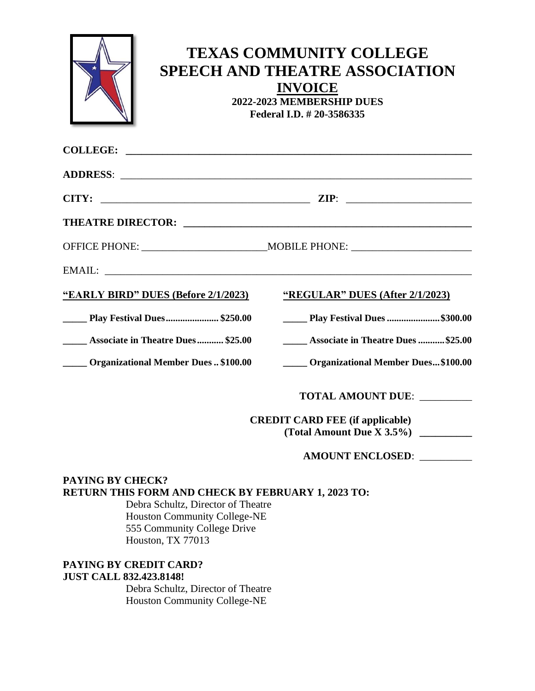|                                                   | <b>TEXAS COMMUNITY COLLEGE</b><br><b>SPEECH AND THEATRE ASSOCIATION</b><br><b>INVOICE</b><br>2022-2023 MEMBERSHIP DUES<br>Federal I.D. # 20-3586335                                                                            |                                                                                                                                                                                                                                      |
|---------------------------------------------------|--------------------------------------------------------------------------------------------------------------------------------------------------------------------------------------------------------------------------------|--------------------------------------------------------------------------------------------------------------------------------------------------------------------------------------------------------------------------------------|
|                                                   | COLLEGE:                                                                                                                                                                                                                       |                                                                                                                                                                                                                                      |
|                                                   |                                                                                                                                                                                                                                |                                                                                                                                                                                                                                      |
|                                                   |                                                                                                                                                                                                                                |                                                                                                                                                                                                                                      |
|                                                   |                                                                                                                                                                                                                                |                                                                                                                                                                                                                                      |
|                                                   |                                                                                                                                                                                                                                |                                                                                                                                                                                                                                      |
|                                                   | EMAIL: Letters and the second state of the second state of the second state of the second state of the second state of the second state of the second state of the second state of the second state of the second state of the |                                                                                                                                                                                                                                      |
|                                                   | "EARLY BIRD" DUES (Before 2/1/2023)                                                                                                                                                                                            | "REGULAR" DUES (After 2/1/2023)                                                                                                                                                                                                      |
| <b>EXECUTE: Play Festival Dues \$250.00</b>       |                                                                                                                                                                                                                                | <b>_________ Play Festival Dues \$300.00</b>                                                                                                                                                                                         |
| <b>EXECUTE:</b> Associate in Theatre Dues \$25.00 |                                                                                                                                                                                                                                | <b>EXECUTE:</b> Associate in Theatre Dues \$25.00                                                                                                                                                                                    |
| _____ Organizational Member Dues  \$100.00        |                                                                                                                                                                                                                                | <b>Communist Communist Communist Communist Communist Communist Communist Communist Communist Communist Communist Communist Communist Communist Communist Communist Communist Communist Communist Communist Communist Communist C</b> |
|                                                   |                                                                                                                                                                                                                                | <b>TOTAL AMOUNT DUE:</b>                                                                                                                                                                                                             |
|                                                   |                                                                                                                                                                                                                                | <b>CREDIT CARD FEE (if applicable)</b>                                                                                                                                                                                               |
|                                                   |                                                                                                                                                                                                                                | (Total Amount Due X 3.5%)                                                                                                                                                                                                            |
|                                                   |                                                                                                                                                                                                                                | <b>AMOUNT ENCLOSED:</b>                                                                                                                                                                                                              |
| PAYING BY CHECK?                                  |                                                                                                                                                                                                                                |                                                                                                                                                                                                                                      |

## **RETURN THIS FORM AND CHECK BY FEBRUARY 1, 2023 TO:**

Debra Schultz, Director of Theatre Houston Community College-NE 555 Community College Drive Houston, TX 77013

## **PAYING BY CREDIT CARD? JUST CALL 832.423.8148!**

Debra Schultz, Director of Theatre Houston Community College-NE